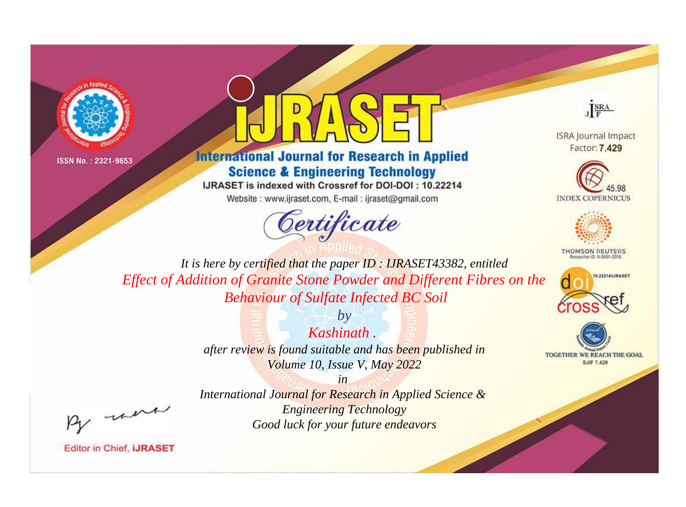

ISSN No.: 2321-9653



**International Journal for Research in Applied Science & Engineering Technology** 

IJRASET is indexed with Crossref for DOI-DOI: 10.22214

Website: www.ijraset.com, E-mail: ijraset@gmail.com





**ISRA Journal Impact** Factor: 7.429





**THOMSON REUTERS** 



TOGETHER WE REACH THE GOAL **SJIF 7.429** 

*It is here by certified that the paper ID : IJRASET43382, entitled Effect of Addition of Granite Stone Powder and Different Fibres on the Behaviour of Sulfate Infected BC Soil*

> *by Kashinath . after review is found suitable and has been published in Volume 10, Issue V, May 2022*

, were

*International Journal for Research in Applied Science & Engineering Technology Good luck for your future endeavors*

*in* 

**Editor in Chief, IJRASET**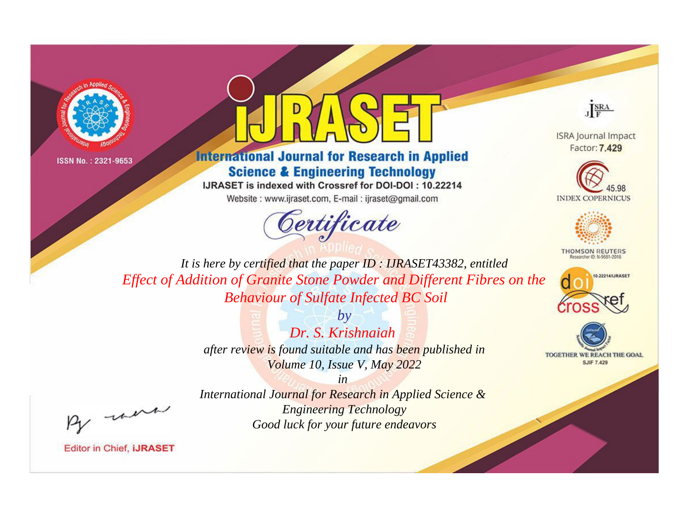

ISSN No.: 2321-9653



**International Journal for Research in Applied Science & Engineering Technology** 

IJRASET is indexed with Crossref for DOI-DOI: 10.22214

Website: www.ijraset.com, E-mail: ijraset@gmail.com





**ISRA Journal Impact** Factor: 7.429





**THOMSON REUTERS** 



TOGETHER WE REACH THE GOAL **SJIF 7.429** 

*It is here by certified that the paper ID : IJRASET43382, entitled Effect of Addition of Granite Stone Powder and Different Fibres on the Behaviour of Sulfate Infected BC Soil*

> *by Dr. S. Krishnaiah after review is found suitable and has been published in Volume 10, Issue V, May 2022*

, were

*International Journal for Research in Applied Science & Engineering Technology Good luck for your future endeavors*

*in* 

**Editor in Chief, IJRASET**